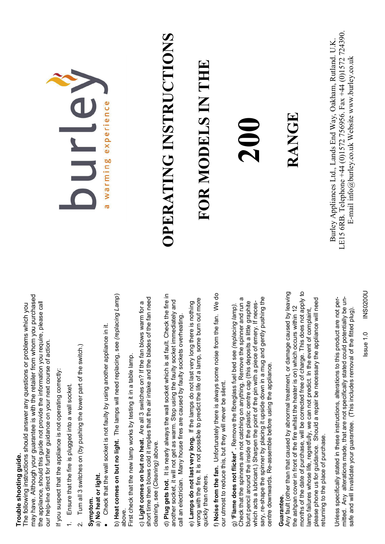## **Trouble shooting guide.**  Trouble shooting guide.

may have. Although your guarantee is with the retailer from whom you purchased may have. Although your guarantee is with the retailer from whom you purchased the appliance, should this guide not provide the information you require, please call the appliance, should this guide not provide the information you require, please call The following instructions should answer any questions or problems which you The following instructions should answer any questions or problems which you our help-line direct for further guidance on your next course of action. our help-line direct for further guidance on your next course of action.

If you suspect that the appliance is not operating correctly: If you suspect that the appliance is not operating correctly:

- 1. Ensure that the fire is plugged into a wall socket. 1. Ensure that the fire is plugged into a wall socket.
- Turn all 3 switches on (by pushing the lower part of the switch.) 2. Turn all 3 switches on (by pushing the lower part of the switch.)  $\overline{\mathsf{N}}$

### **Symptom.**  Symptom.

### a) **No heat or light.**  a) No heat or light.

• Check that the wall socket is not faulty by using another appliance in it. • Check that the wall socket is not faulty by using another appliance in it.

b) **Heat comes on but no light.** The lamps will need replacing, see *(replacing Lamp*) b) Heat comes on but no light. The lamps will need replacing, see (replacing Lamp) above.

First check that the new lamp works by testing it in a table lamp. First check that the new lamp works by testing it in a table lamp.

short time then blows cold it implies that the air intake and the blades of the fan need short time then blows cold it implies that the air intake and the blades of the fan need c) Light comes on but no heat. Are all 3 switches on? If the fan blows warm for a c) **Light comes on but no heat.** Are all 3 switches on? If the fan blows warm for a cleaning, see (*Cleaning)* above. cleaning, see (Cleaning) above.

d) **Plug gets hot.** It is nearly always the wall socket which is at fault. Check the fire in d) Plug gets hot. It is nearly always the wall socket which is at fault. Check the fire in another socket, it will not get as warm. Stop using the faulty socket immediately and another socket, it will not get as warm. Stop using the faulty socket immediately and call an electrician. Many house fires are caused by faulty sockets overheating. call an electrician. Many house fires are caused by faulty sockets overheating.

wrong with the fire. It is not possible to predict the life of a lamp, some burn out more wrong with the fire. It is not possible to predict the life of a lamp, some burn out more e) Lamps do not last very long. If the lamps do not last very long there is nothing e) **Lamps do not last very long.** If the lamps do not last very long there is nothing quickly than others. quickly than others.

f) **Noise from the fan.** Unfortunately there is always some noise from the fan. We do f) Noise from the fan. Unfortunately there is always some noise from the fan. We do our utmost to reduce this, but they will never be silent. our utmost to reduce this, but they will never be silent.

sary, re-shape the spinner by placing it upside down in a mug and gently pushing the Check that the spinners are not catching on anything. Remove the spinner and run a Check that the spinners are not catching on anything. Remove the spinner and run a sary, re-shape the spinner by placing it upside down in a mug and gently pushing the blunt pencil around the inside of the plastic centre cap (this deposits a little graphite blunt pencil around the inside of the plastic centre cap (this deposits a little graphite which acts a lubricant.) Sharpen the point of the pin with a piece of emery. If neceswhich acts a lubricant.) Sharpen the point of the pin with a piece of emery. If necesg) 'Flame does not flicker'. Remove the fibreglass fuel bed see (replacing lamp). g) **'Flame does not flicker' .** Remove the fibreglass fuel bed see *(replacing lamp).* centre downwards. Re-assemble before using the appliance. centre downwards. Re-assemble before using the appliance.

### **Guarantee.**  Guarantee.

Any fault (other than that caused by abnormal treatment, or damage caused by leaving months of the date of purchase, will be corrected free of charge. This does not apply to months of the date of purchase, will be corrected free of charge. This does not apply to Any fault (other than that caused by abnormal treatment, or damage caused by leaving please phone us for guidance. Should a repair be necessary the appliance will need please phone us for guidance. Should a repair be necessary the appliance will need the ashpan cover in front of the fire whilst the heater is on) which occurs within 12 the ashpan cover in front of the fire whilst the heater is on) which occurs within 12 lamp failures whose life, regretfully, we can not predict. In the event of complaint, lamp failures whose life, regretfully, we can not predict. In the event of complaint, returning to the place of purchase. eturning to the place of purchase.

mitted. Any alterations made, that are not specifically stated could potentially be un-Unless specifically stated in these instructions, alterations to this product are not permitted. Any alterations made, that are not specifically stated could potentially be un-Unless specifically stated in these instructions, alterations to this product are not persafe and will invalidate your guarantee. (This includes removal of the fitted plug). safe and will invalidate your guarantee. (This includes removal of the fitted plug).



# **OPERATING INSTRUCTIONS**  OPERATING INSTRUCTIONS

## **FOR MODELS IN THE**  FOR MODELS IN THE

## **200**

### RANGE **RANGE**

LE15 6RB. Telephone +44 (0)1572 756956. Fax +44 (0)1572 724390. LE15 6RB. Telephone +44 (0)1572 756956. Fax +44 (0)1572 724390. Burley Appliances Ltd., Lands End Way, Oakham, Rutland. U.K. Burley Appliances Ltd., Lands End Way, Oakham, Rutland, U.K. E-mail info@burley.co.uk Website www.burley.co.uk E-mail info@burley.co.uk Website www.burley.co.uk

> Issue 1.0 INS0200U **INS0200U** ssue 1.0